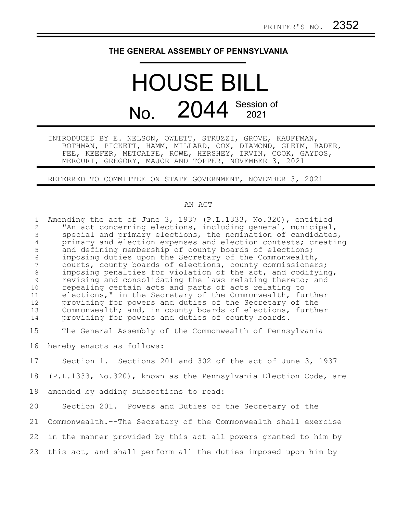## **THE GENERAL ASSEMBLY OF PENNSYLVANIA**

## HOUSE BILL No. 2044 Session of

INTRODUCED BY E. NELSON, OWLETT, STRUZZI, GROVE, KAUFFMAN, ROTHMAN, PICKETT, HAMM, MILLARD, COX, DIAMOND, GLEIM, RADER, FEE, KEEFER, METCALFE, ROWE, HERSHEY, IRVIN, COOK, GAYDOS, MERCURI, GREGORY, MAJOR AND TOPPER, NOVEMBER 3, 2021

REFERRED TO COMMITTEE ON STATE GOVERNMENT, NOVEMBER 3, 2021

## AN ACT

| $\mathbf{1}$<br>$\overline{c}$<br>3<br>$\overline{4}$<br>5<br>$\sqrt{6}$<br>7<br>$8\,$<br>$\overline{9}$<br>10<br>11<br>12<br>13<br>14 | Amending the act of June 3, 1937 (P.L.1333, No.320), entitled<br>"An act concerning elections, including general, municipal,<br>special and primary elections, the nomination of candidates,<br>primary and election expenses and election contests; creating<br>and defining membership of county boards of elections;<br>imposing duties upon the Secretary of the Commonwealth,<br>courts, county boards of elections, county commissioners;<br>imposing penalties for violation of the act, and codifying,<br>revising and consolidating the laws relating thereto; and<br>repealing certain acts and parts of acts relating to<br>elections," in the Secretary of the Commonwealth, further<br>providing for powers and duties of the Secretary of the<br>Commonwealth; and, in county boards of elections, further<br>providing for powers and duties of county boards. |
|----------------------------------------------------------------------------------------------------------------------------------------|-------------------------------------------------------------------------------------------------------------------------------------------------------------------------------------------------------------------------------------------------------------------------------------------------------------------------------------------------------------------------------------------------------------------------------------------------------------------------------------------------------------------------------------------------------------------------------------------------------------------------------------------------------------------------------------------------------------------------------------------------------------------------------------------------------------------------------------------------------------------------------|
| 15                                                                                                                                     | The General Assembly of the Commonwealth of Pennsylvania                                                                                                                                                                                                                                                                                                                                                                                                                                                                                                                                                                                                                                                                                                                                                                                                                      |
| 16                                                                                                                                     | hereby enacts as follows:                                                                                                                                                                                                                                                                                                                                                                                                                                                                                                                                                                                                                                                                                                                                                                                                                                                     |
| 17                                                                                                                                     | Section 1. Sections 201 and 302 of the act of June 3, 1937                                                                                                                                                                                                                                                                                                                                                                                                                                                                                                                                                                                                                                                                                                                                                                                                                    |
| 18                                                                                                                                     | (P.L.1333, No.320), known as the Pennsylvania Election Code, are                                                                                                                                                                                                                                                                                                                                                                                                                                                                                                                                                                                                                                                                                                                                                                                                              |
| 19                                                                                                                                     | amended by adding subsections to read:                                                                                                                                                                                                                                                                                                                                                                                                                                                                                                                                                                                                                                                                                                                                                                                                                                        |
| 20                                                                                                                                     | Section 201. Powers and Duties of the Secretary of the                                                                                                                                                                                                                                                                                                                                                                                                                                                                                                                                                                                                                                                                                                                                                                                                                        |
| 21                                                                                                                                     | Commonwealth.--The Secretary of the Commonwealth shall exercise                                                                                                                                                                                                                                                                                                                                                                                                                                                                                                                                                                                                                                                                                                                                                                                                               |
| 22                                                                                                                                     | in the manner provided by this act all powers granted to him by                                                                                                                                                                                                                                                                                                                                                                                                                                                                                                                                                                                                                                                                                                                                                                                                               |
| 23                                                                                                                                     | this act, and shall perform all the duties imposed upon him by                                                                                                                                                                                                                                                                                                                                                                                                                                                                                                                                                                                                                                                                                                                                                                                                                |